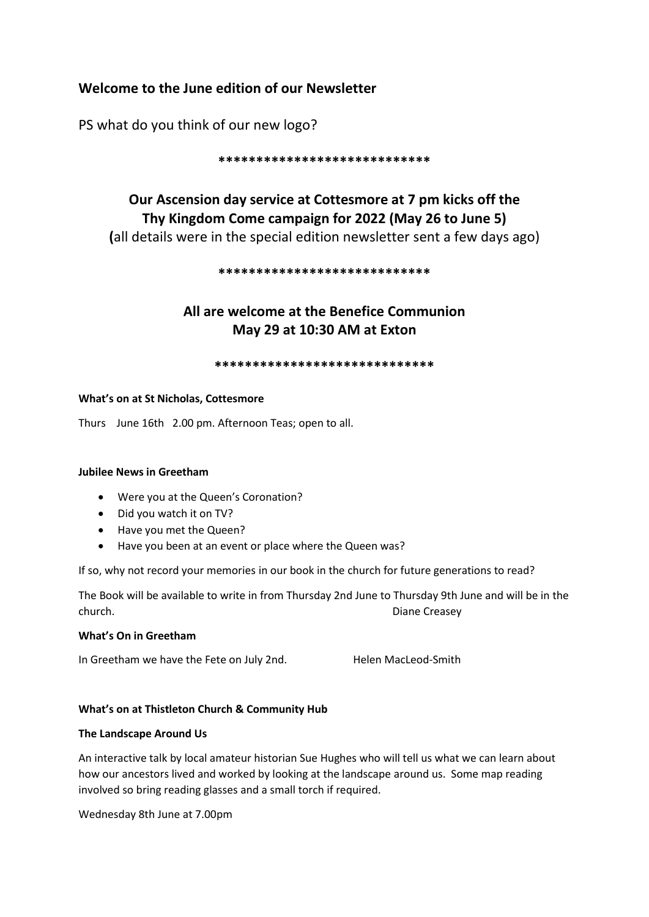# **Welcome to the June edition of our Newsletter**

PS what do you think of our new logo?

#### **\*\*\*\*\*\*\*\*\*\*\*\*\*\*\*\*\*\*\*\*\*\*\*\*\*\*\*\***

# **Our Ascension day service at Cottesmore at 7 pm kicks off the Thy Kingdom Come campaign for 2022 (May 26 to June 5) (**all details were in the special edition newsletter sent a few days ago)

#### **\*\*\*\*\*\*\*\*\*\*\*\*\*\*\*\*\*\*\*\*\*\*\*\*\*\*\*\***

# **All are welcome at the Benefice Communion May 29 at 10:30 AM at Exton**

#### **\*\*\*\*\*\*\*\*\*\*\*\*\*\*\*\*\*\*\*\*\*\*\*\*\*\*\*\*\***

## **What's on at St Nicholas, Cottesmore**

Thurs June 16th 2.00 pm. Afternoon Teas; open to all.

#### **Jubilee News in Greetham**

- Were you at the Queen's Coronation?
- Did you watch it on TV?
- Have you met the Queen?
- Have you been at an event or place where the Queen was?

If so, why not record your memories in our book in the church for future generations to read?

The Book will be available to write in from Thursday 2nd June to Thursday 9th June and will be in the church. Diane Creasey

#### **What's On in Greetham**

In Greetham we have the Fete on July 2nd. Helen MacLeod-Smith

# **What's on at Thistleton Church & Community Hub**

#### **The Landscape Around Us**

An interactive talk by local amateur historian Sue Hughes who will tell us what we can learn about how our ancestors lived and worked by looking at the landscape around us. Some map reading involved so bring reading glasses and a small torch if required.

Wednesday 8th June at 7.00pm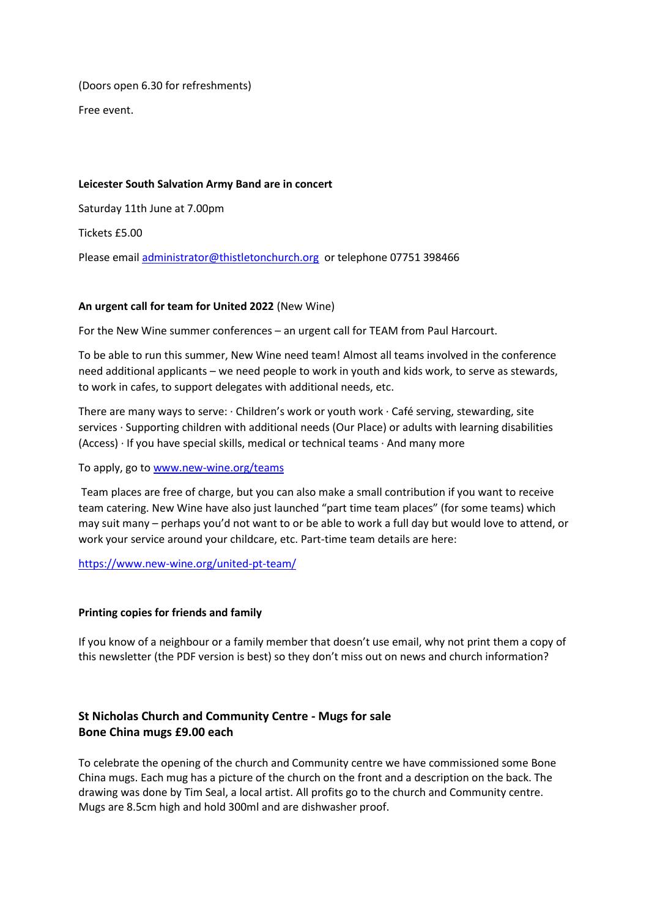(Doors open 6.30 for refreshments)

Free event.

## **Leicester South Salvation Army Band are in concert**

Saturday 11th June at 7.00pm

Tickets £5.00

Please email [administrator@thistletonchurch.org](mailto:administrator@thistletonchurch.org) or telephone 07751 398466

## **An urgent call for team for United 2022** (New Wine)

For the New Wine summer conferences – an urgent call for TEAM from Paul Harcourt.

To be able to run this summer, New Wine need team! Almost all teams involved in the conference need additional applicants – we need people to work in youth and kids work, to serve as stewards, to work in cafes, to support delegates with additional needs, etc.

There are many ways to serve: · Children's work or youth work · Café serving, stewarding, site services · Supporting children with additional needs (Our Place) or adults with learning disabilities (Access) · If you have special skills, medical or technical teams · And many more

To apply, go t[o www.new-wine.org/teams](http://www.new-wine.org/teams)

Team places are free of charge, but you can also make a small contribution if you want to receive team catering. New Wine have also just launched "part time team places" (for some teams) which may suit many – perhaps you'd not want to or be able to work a full day but would love to attend, or work your service around your childcare, etc. Part-time team details are here:

<https://www.new-wine.org/united-pt-team/>

#### **Printing copies for friends and family**

If you know of a neighbour or a family member that doesn't use email, why not print them a copy of this newsletter (the PDF version is best) so they don't miss out on news and church information?

# **St Nicholas Church and Community Centre - Mugs for sale Bone China mugs £9.00 each**

To celebrate the opening of the church and Community centre we have commissioned some Bone China mugs. Each mug has a picture of the church on the front and a description on the back. The drawing was done by Tim Seal, a local artist. All profits go to the church and Community centre. Mugs are 8.5cm high and hold 300ml and are dishwasher proof.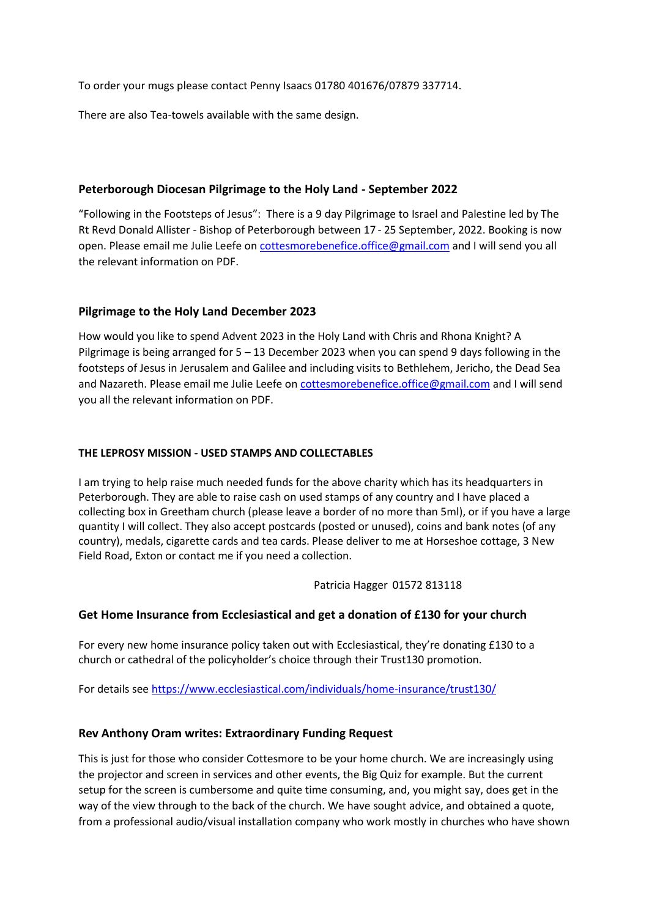To order your mugs please contact Penny Isaacs 01780 401676/07879 337714.

There are also Tea-towels available with the same design.

# **Peterborough Diocesan Pilgrimage to the Holy Land - September 2022**

"Following in the Footsteps of Jesus": There is a 9 day Pilgrimage to Israel and Palestine led by The Rt Revd Donald Allister - Bishop of Peterborough between 17 - 25 September, 2022. Booking is now open. Please email me Julie Leefe o[n cottesmorebenefice.office@gmail.com](mailto:cottesmorebenefice.office@gmail.com) and I will send you all the relevant information on PDF.

# **Pilgrimage to the Holy Land December 2023**

How would you like to spend Advent 2023 in the Holy Land with Chris and Rhona Knight? A Pilgrimage is being arranged for 5 – 13 December 2023 when you can spend 9 days following in the footsteps of Jesus in Jerusalem and Galilee and including visits to Bethlehem, Jericho, the Dead Sea and Nazareth. Please email me Julie Leefe o[n cottesmorebenefice.office@gmail.com](mailto:cottesmorebenefice.office@gmail.com) and I will send you all the relevant information on PDF.

## **THE LEPROSY MISSION - USED STAMPS AND COLLECTABLES**

I am trying to help raise much needed funds for the above charity which has its headquarters in Peterborough. They are able to raise cash on used stamps of any country and I have placed a collecting box in Greetham church (please leave a border of no more than 5ml), or if you have a large quantity I will collect. They also accept postcards (posted or unused), coins and bank notes (of any country), medals, cigarette cards and tea cards. Please deliver to me at Horseshoe cottage, 3 New Field Road, Exton or contact me if you need a collection.

Patricia Hagger 01572 813118

# **Get Home Insurance from Ecclesiastical and get a donation of £130 for your church**

For every new home insurance policy taken out with Ecclesiastical, they're donating £130 to a church or cathedral of the policyholder's choice through their Trust130 promotion.

For details see<https://www.ecclesiastical.com/individuals/home-insurance/trust130/>

# **Rev Anthony Oram writes: Extraordinary Funding Request**

This is just for those who consider Cottesmore to be your home church. We are increasingly using the projector and screen in services and other events, the Big Quiz for example. But the current setup for the screen is cumbersome and quite time consuming, and, you might say, does get in the way of the view through to the back of the church. We have sought advice, and obtained a quote, from a professional audio/visual installation company who work mostly in churches who have shown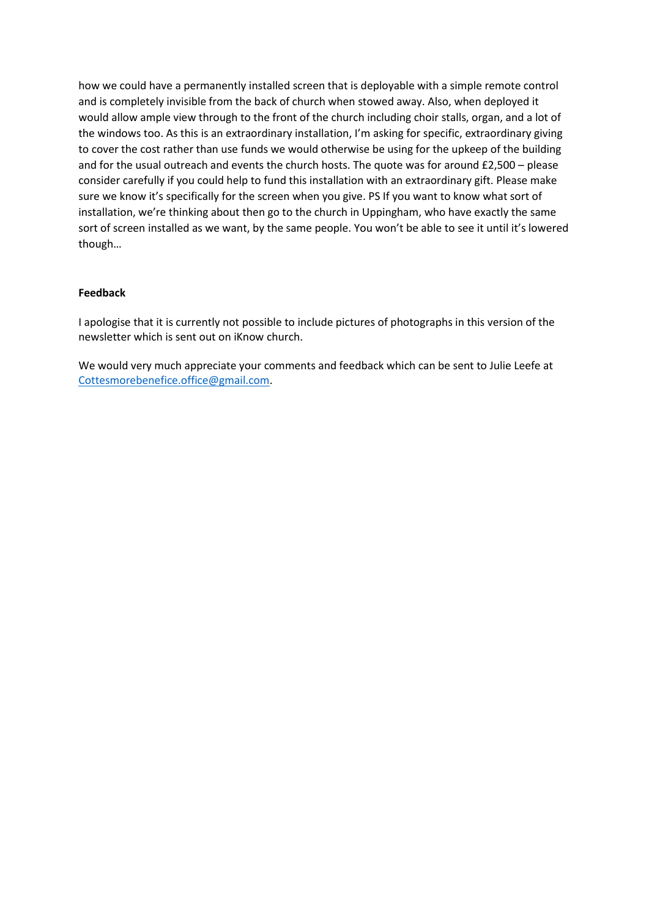how we could have a permanently installed screen that is deployable with a simple remote control and is completely invisible from the back of church when stowed away. Also, when deployed it would allow ample view through to the front of the church including choir stalls, organ, and a lot of the windows too. As this is an extraordinary installation, I'm asking for specific, extraordinary giving to cover the cost rather than use funds we would otherwise be using for the upkeep of the building and for the usual outreach and events the church hosts. The quote was for around £2,500 – please consider carefully if you could help to fund this installation with an extraordinary gift. Please make sure we know it's specifically for the screen when you give. PS If you want to know what sort of installation, we're thinking about then go to the church in Uppingham, who have exactly the same sort of screen installed as we want, by the same people. You won't be able to see it until it's lowered though…

#### **Feedback**

I apologise that it is currently not possible to include pictures of photographs in this version of the newsletter which is sent out on iKnow church.

We would very much appreciate your comments and feedback which can be sent to Julie Leefe at [Cottesmorebenefice.office@gmail.com.](mailto:Cottesmorebenefice.office@gmail.com)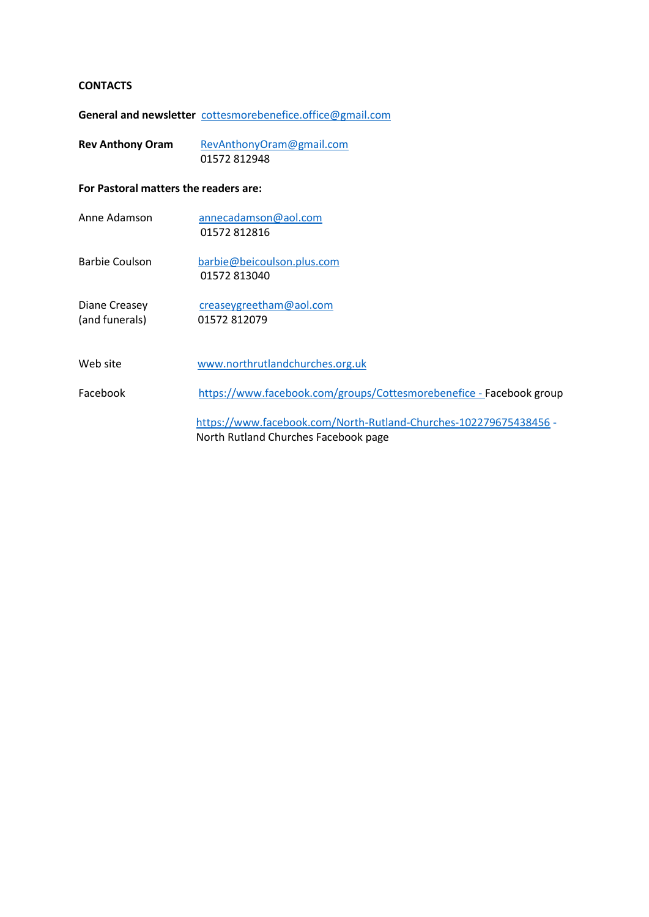#### **CONTACTS**

**General and newsletter** [cottesmorebenefice.office@gmail.com](mailto:cottesmorebenefice.office@gmail.com)

| <b>Rev Anthony Oram</b> | RevAnthonyOram@gmail.com |  |
|-------------------------|--------------------------|--|
|                         | 01572 812948             |  |

**For Pastoral matters the readers are:**

| Anne Adamson                    | annecadamson@aol.com<br>01572812816                                                                       |
|---------------------------------|-----------------------------------------------------------------------------------------------------------|
| Barbie Coulson                  | barbie@beicoulson.plus.com<br>01572813040                                                                 |
| Diane Creasey<br>(and funerals) | creaseygreetham@aol.com<br>01572 812079                                                                   |
| Web site                        | www.northrutlandchurches.org.uk                                                                           |
| Facebook                        | https://www.facebook.com/groups/Cottesmorebenefice - Facebook group                                       |
|                                 | https://www.facebook.com/North-Rutland-Churches-102279675438456 -<br>North Rutland Churches Facebook page |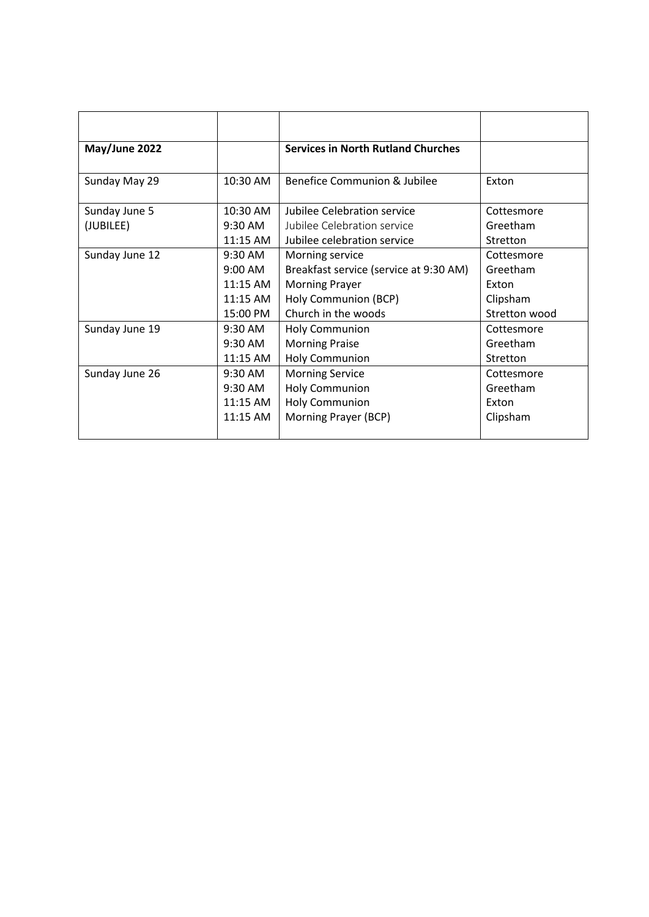| May/June 2022  |           | <b>Services in North Rutland Churches</b> |               |
|----------------|-----------|-------------------------------------------|---------------|
| Sunday May 29  | 10:30 AM  | Benefice Communion & Jubilee              | Exton         |
| Sunday June 5  | 10:30 AM  | Jubilee Celebration service               | Cottesmore    |
| (JUBILEE)      | 9:30 AM   | Jubilee Celebration service               | Greetham      |
| Sunday June 12 | 11:15 AM  | Jubilee celebration service               | Stretton      |
|                | 9:30 AM   | Morning service                           | Cottesmore    |
|                | 9:00 AM   | Breakfast service (service at 9:30 AM)    | Greetham      |
|                | 11:15 AM  | <b>Morning Prayer</b>                     | Exton         |
|                | 11:15 AM  | Holy Communion (BCP)                      | Clipsham      |
|                | 15:00 PM  | Church in the woods                       | Stretton wood |
| Sunday June 19 | 9:30 AM   | <b>Holy Communion</b>                     | Cottesmore    |
|                | $9:30$ AM | <b>Morning Praise</b>                     | Greetham      |
|                | 11:15 AM  | Holy Communion                            | Stretton      |
| Sunday June 26 | 9:30 AM   | <b>Morning Service</b>                    | Cottesmore    |
|                | 9:30 AM   | <b>Holy Communion</b>                     | Greetham      |
|                | 11:15 AM  | <b>Holy Communion</b>                     | Exton         |
|                | 11:15 AM  | Morning Prayer (BCP)                      | Clipsham      |